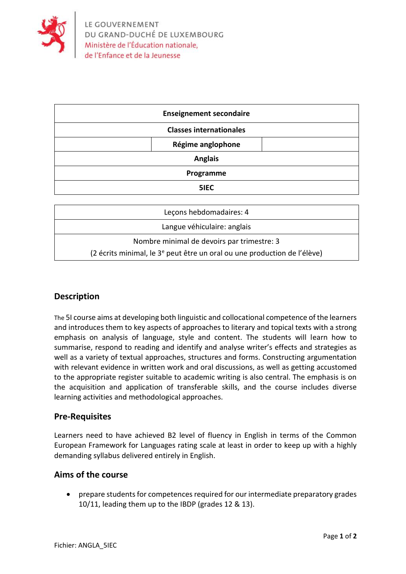

|                                | <b>Enseignement secondaire</b> |  |
|--------------------------------|--------------------------------|--|
| <b>Classes internationales</b> |                                |  |
|                                | Régime anglophone              |  |
| <b>Anglais</b>                 |                                |  |
| Programme                      |                                |  |
|                                | 5IEC                           |  |

| Leçons hebdomadaires: 4                                                              |  |  |
|--------------------------------------------------------------------------------------|--|--|
| Langue véhiculaire: anglais                                                          |  |  |
| Nombre minimal de devoirs par trimestre: 3                                           |  |  |
| (2 écrits minimal, le 3 <sup>e</sup> peut être un oral ou une production de l'élève) |  |  |

# **Description**

The 5I course aims at developing both linguistic and collocational competence of the learners and introduces them to key aspects of approaches to literary and topical texts with a strong emphasis on analysis of language, style and content. The students will learn how to summarise, respond to reading and identify and analyse writer's effects and strategies as well as a variety of textual approaches, structures and forms. Constructing argumentation with relevant evidence in written work and oral discussions, as well as getting accustomed to the appropriate register suitable to academic writing is also central. The emphasis is on the acquisition and application of transferable skills, and the course includes diverse learning activities and methodological approaches.

# **Pre-Requisites**

Learners need to have achieved B2 level of fluency in English in terms of the Common European Framework for Languages rating scale at least in order to keep up with a highly demanding syllabus delivered entirely in English.

# **Aims of the course**

• prepare students for competences required for our intermediate preparatory grades 10/11, leading them up to the IBDP (grades 12 & 13).